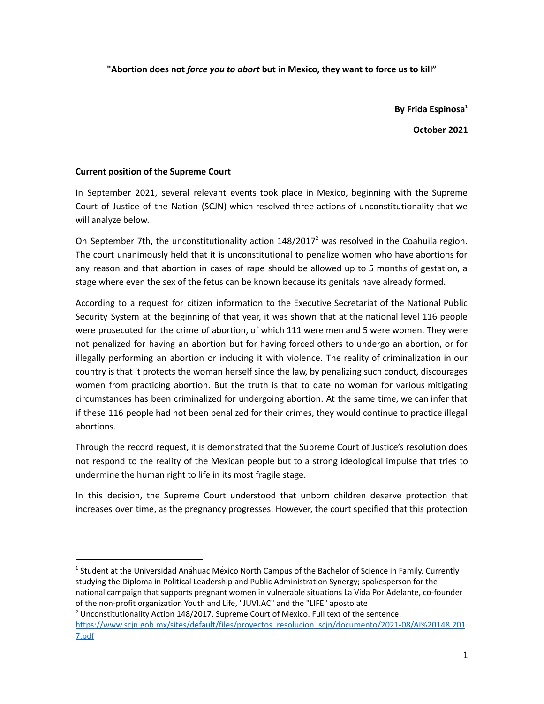**"Abortion does not** *force you to abort* **but in Mexico, they want to force us to kill"**

**By Frida Espinosa 1**

**October 2021**

## **Current position of the Supreme Court**

In September 2021, several relevant events took place in Mexico, beginning with the Supreme Court of Justice of the Nation (SCJN) which resolved three actions of unconstitutionality that we will analyze below.

On September 7th, the unconstitutionality action  $148/2017<sup>2</sup>$  was resolved in the Coahuila region. The court unanimously held that it is unconstitutional to penalize women who have abortions for any reason and that abortion in cases of rape should be allowed up to 5 months of gestation, a stage where even the sex of the fetus can be known because its genitals have already formed.

According to a request for citizen information to the Executive Secretariat of the National Public Security System at the beginning of that year, it was shown that at the national level 116 people were prosecuted for the crime of abortion, of which 111 were men and 5 were women. They were not penalized for having an abortion but for having forced others to undergo an abortion, or for illegally performing an abortion or inducing it with violence. The reality of criminalization in our country is that it protects the woman herself since the law, by penalizing such conduct, discourages women from practicing abortion. But the truth is that to date no woman for various mitigating circumstances has been criminalized for undergoing abortion. At the same time, we can infer that if these 116 people had not been penalized for their crimes, they would continue to practice illegal abortions.

Through the record request, it is demonstrated that the Supreme Court of Justice's resolution does not respond to the reality of the Mexican people but to a strong ideological impulse that tries to undermine the human right to life in its most fragile stage.

In this decision, the Supreme Court understood that unborn children deserve protection that increases over time, as the pregnancy progresses. However, the court specified that this protection

<sup>&</sup>lt;sup>1</sup> Student at the Universidad Anahuac Mexico North Campus of the Bachelor of Science in Family. Currently studying the Diploma in Political Leadership and Public Administration Synergy; spokesperson for the national campaign that supports pregnant women in vulnerable situations La Vida Por Adelante, co-founder of the non-profit organization Youth and Life, "JUVI.AC" and the "LIFE" apostolate

<sup>&</sup>lt;sup>2</sup> Unconstitutionality Action 148/2017. Supreme Court of Mexico. Full text of the sentence: [https://www.scjn.gob.mx/sites/default/files/proyectos\\_resolucion\\_scjn/documento/2021-08/AI%20148.201](https://www.scjn.gob.mx/sites/default/files/proyectos_resolucion_scjn/documento/2021-08/AI%20148.2017.pdf) [7.pdf](https://www.scjn.gob.mx/sites/default/files/proyectos_resolucion_scjn/documento/2021-08/AI%20148.2017.pdf)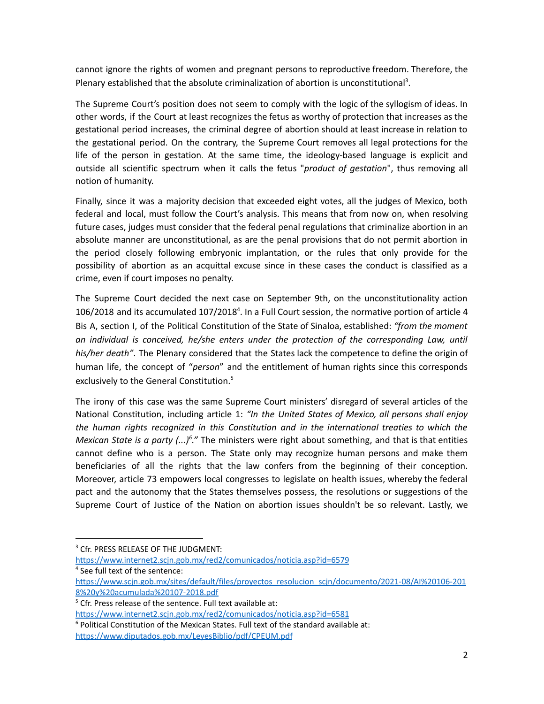cannot ignore the rights of women and pregnant persons to reproductive freedom. Therefore, the Plenary established that the absolute criminalization of abortion is unconstitutional<sup>3</sup>.

The Supreme Court's position does not seem to comply with the logic of the syllogism of ideas. In other words, if the Court at least recognizes the fetus as worthy of protection that increases as the gestational period increases, the criminal degree of abortion should at least increase in relation to the gestational period. On the contrary, the Supreme Court removes all legal protections for the life of the person in gestation. At the same time, the ideology-based language is explicit and outside all scientific spectrum when it calls the fetus "*product of gestation*", thus removing all notion of humanity.

Finally, since it was a majority decision that exceeded eight votes, all the judges of Mexico, both federal and local, must follow the Court's analysis. This means that from now on, when resolving future cases, judges must consider that the federal penal regulations that criminalize abortion in an absolute manner are unconstitutional, as are the penal provisions that do not permit abortion in the period closely following embryonic implantation, or the rules that only provide for the possibility of abortion as an acquittal excuse since in these cases the conduct is classified as a crime, even if court imposes no penalty.

The Supreme Court decided the next case on September 9th, on the unconstitutionality action 106/2018 and its accumulated 107/2018<sup>4</sup>. In a Full Court session, the normative portion of article 4 Bis A, section I, of the Political Constitution of the State of Sinaloa, established: *"from the moment an individual is conceived, he/she enters under the protection of the corresponding Law, until his/her death"*. The Plenary considered that the States lack the competence to define the origin of human life, the concept of "*person*" and the entitlement of human rights since this corresponds exclusively to the General Constitution. 5

The irony of this case was the same Supreme Court ministers' disregard of several articles of the National Constitution, including article 1: *"In the United States of Mexico, all persons shall enjoy the human rights recognized in this Constitution and in the international treaties to which the Mexican State is a party (...)<sup>6</sup>.*" The ministers were right about something, and that is that entities cannot define who is a person. The State only may recognize human persons and make them beneficiaries of all the rights that the law confers from the beginning of their conception. Moreover, article 73 empowers local congresses to legislate on health issues, whereby the federal pact and the autonomy that the States themselves possess, the resolutions or suggestions of the Supreme Court of Justice of the Nation on abortion issues shouldn't be so relevant. Lastly, we

<sup>&</sup>lt;sup>3</sup> Cfr. PRESS RELEASE OF THE JUDGMENT:

<https://www.internet2.scjn.gob.mx/red2/comunicados/noticia.asp?id=6579>

<sup>4</sup> See full text of the sentence:

[https://www.scjn.gob.mx/sites/default/files/proyectos\\_resolucion\\_scjn/documento/2021-08/AI%20106-201](https://www.scjn.gob.mx/sites/default/files/proyectos_resolucion_scjn/documento/2021-08/AI%20106-2018%20y%20acumulada%20107-2018.pdf) [8%20y%20acumulada%20107-2018.pdf](https://www.scjn.gob.mx/sites/default/files/proyectos_resolucion_scjn/documento/2021-08/AI%20106-2018%20y%20acumulada%20107-2018.pdf)

 $5$  Cfr. Press release of the sentence. Full text available at:

<https://www.internet2.scjn.gob.mx/red2/comunicados/noticia.asp?id=6581>

 $6$  Political Constitution of the Mexican States. Full text of the standard available at: <https://www.diputados.gob.mx/LeyesBiblio/pdf/CPEUM.pdf>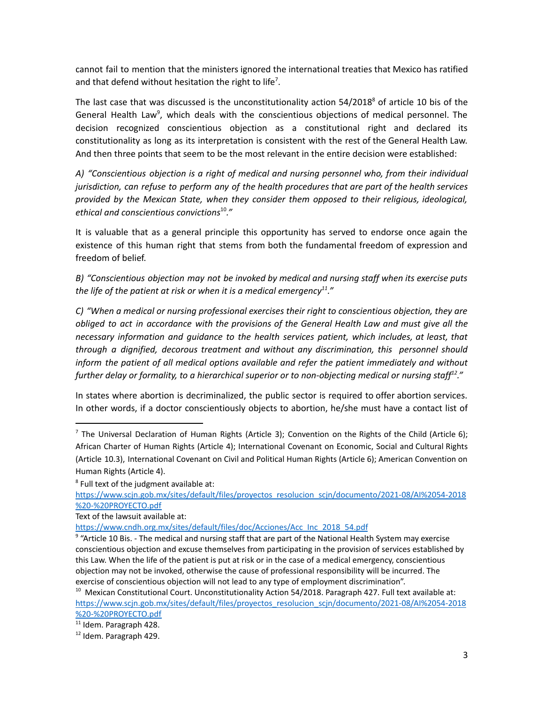cannot fail to mention that the ministers ignored the international treaties that Mexico has ratified and that defend without hesitation the right to life<sup>7</sup>.

The last case that was discussed is the unconstitutionality action 54/2018<sup>8</sup> of article 10 bis of the General Health Law<sup>9</sup>, which deals with the conscientious objections of medical personnel. The decision recognized conscientious objection as a constitutional right and declared its constitutionality as long as its interpretation is consistent with the rest of the General Health Law. And then three points that seem to be the most relevant in the entire decision were established:

*A) "Conscientious objection is a right of medical and nursing personnel who, from their individual jurisdiction, can refuse to perform any of the health procedures that are part of the health services provided by the Mexican State, when they consider them opposed to their religious, ideological, ethical and conscientious convictions* 10 *."*

It is valuable that as a general principle this opportunity has served to endorse once again the existence of this human right that stems from both the fundamental freedom of expression and freedom of belief.

*B) "Conscientious objection may not be invoked by medical and nursing staff when its exercise puts the life of the patient at risk or when it is a medical emergency 11 ."*

*C) "When a medical or nursing professional exercises their right to conscientious objection, they are obliged to act in accordance with the provisions of the General Health Law and must give all the necessary information and guidance to the health services patient, which includes, at least, that through a dignified, decorous treatment and without any discrimination, this personnel should inform the patient of all medical options available and refer the patient immediately and without further delay or formality, to a hierarchical superior or to non-objecting medical or nursing staff 12 ."*

In states where abortion is decriminalized, the public sector is required to offer abortion services. In other words, if a doctor conscientiously objects to abortion, he/she must have a contact list of

 $^7$  The Universal Declaration of Human Rights (Article 3); Convention on the Rights of the Child (Article 6); African Charter of Human Rights (Article 4); International Covenant on Economic, Social and Cultural Rights (Article 10.3), International Covenant on Civil and Political Human Rights (Article 6); American Convention on Human Rights (Article 4).

 $8$  Full text of the judgment available at:

[https://www.scjn.gob.mx/sites/default/files/proyectos\\_resolucion\\_scjn/documento/2021-08/AI%2054-2018](https://www.scjn.gob.mx/sites/default/files/proyectos_resolucion_scjn/documento/2021-08/AI%2054-2018%20-%20PROYECTO.pdf) [%20-%20PROYECTO.pdf](https://www.scjn.gob.mx/sites/default/files/proyectos_resolucion_scjn/documento/2021-08/AI%2054-2018%20-%20PROYECTO.pdf)

Text of the lawsuit available at:

[https://www.cndh.org.mx/sites/default/files/doc/Acciones/Acc\\_Inc\\_2018\\_54.pdf](https://www.cndh.org.mx/sites/default/files/doc/Acciones/Acc_Inc_2018_54.pdf)

<sup>&</sup>lt;sup>9</sup> "Article 10 Bis. - The medical and nursing staff that are part of the National Health System may exercise conscientious objection and excuse themselves from participating in the provision of services established by this Law. When the life of the patient is put at risk or in the case of a medical emergency, conscientious objection may not be invoked, otherwise the cause of professional responsibility will be incurred. The exercise of conscientious objection will not lead to any type of employment discrimination".

 $10$  Mexican Constitutional Court. Unconstitutionality Action 54/2018. Paragraph 427. Full text available at: [https://www.scjn.gob.mx/sites/default/files/proyectos\\_resolucion\\_scjn/documento/2021-08/AI%2054-2018](https://www.scjn.gob.mx/sites/default/files/proyectos_resolucion_scjn/documento/2021-08/AI%2054-2018%20-%20PROYECTO.pdf) [%20-%20PROYECTO.pdf](https://www.scjn.gob.mx/sites/default/files/proyectos_resolucion_scjn/documento/2021-08/AI%2054-2018%20-%20PROYECTO.pdf)

<sup>&</sup>lt;sup>11</sup> Idem. Paragraph 428.

<sup>12</sup> Idem. Paragraph 429.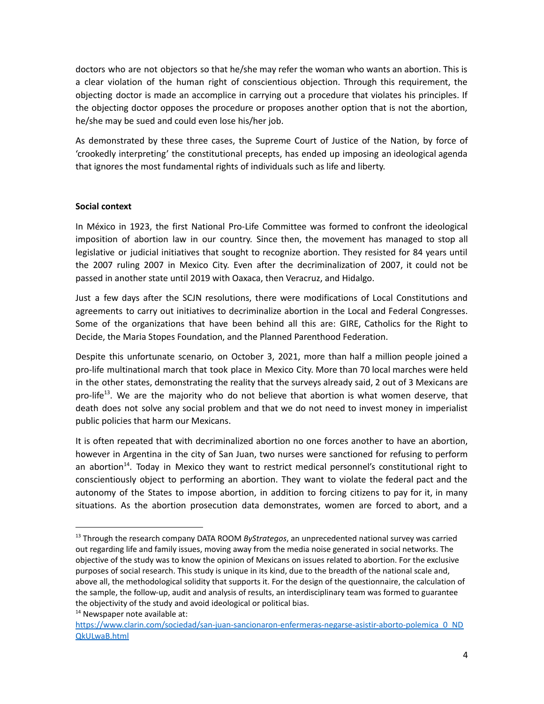doctors who are not objectors so that he/she may refer the woman who wants an abortion. This is a clear violation of the human right of conscientious objection. Through this requirement, the objecting doctor is made an accomplice in carrying out a procedure that violates his principles. If the objecting doctor opposes the procedure or proposes another option that is not the abortion, he/she may be sued and could even lose his/her job.

As demonstrated by these three cases, the Supreme Court of Justice of the Nation, by force of 'crookedly interpreting' the constitutional precepts, has ended up imposing an ideological agenda that ignores the most fundamental rights of individuals such as life and liberty.

## **Social context**

In México in 1923, the first National Pro-Life Committee was formed to confront the ideological imposition of abortion law in our country. Since then, the movement has managed to stop all legislative or judicial initiatives that sought to recognize abortion. They resisted for 84 years until the 2007 ruling 2007 in Mexico City. Even after the decriminalization of 2007, it could not be passed in another state until 2019 with Oaxaca, then Veracruz, and Hidalgo.

Just a few days after the SCJN resolutions, there were modifications of Local Constitutions and agreements to carry out initiatives to decriminalize abortion in the Local and Federal Congresses. Some of the organizations that have been behind all this are: GIRE, Catholics for the Right to Decide, the Maria Stopes Foundation, and the Planned Parenthood Federation.

Despite this unfortunate scenario, on October 3, 2021, more than half a million people joined a pro-life multinational march that took place in Mexico City. More than 70 local marches were held in the other states, demonstrating the reality that the surveys already said, 2 out of 3 Mexicans are pro-life<sup>13</sup>. We are the majority who do not believe that abortion is what women deserve, that death does not solve any social problem and that we do not need to invest money in imperialist public policies that harm our Mexicans.

It is often repeated that with decriminalized abortion no one forces another to have an abortion, however in Argentina in the city of San Juan, two nurses were sanctioned for refusing to perform an abortion<sup>14</sup>. Today in Mexico they want to restrict medical personnel's constitutional right to conscientiously object to performing an abortion. They want to violate the federal pact and the autonomy of the States to impose abortion, in addition to forcing citizens to pay for it, in many situations. As the abortion prosecution data demonstrates, women are forced to abort, and a

<sup>13</sup> Through the research company DATA ROOM *ByStrategos*, an unprecedented national survey was carried out regarding life and family issues, moving away from the media noise generated in social networks. The objective of the study was to know the opinion of Mexicans on issues related to abortion. For the exclusive purposes of social research. This study is unique in its kind, due to the breadth of the national scale and, above all, the methodological solidity that supports it. For the design of the questionnaire, the calculation of the sample, the follow-up, audit and analysis of results, an interdisciplinary team was formed to guarantee the objectivity of the study and avoid ideological or political bias.

<sup>&</sup>lt;sup>14</sup> Newspaper note available at:

[https://www.clarin.com/sociedad/san-juan-sancionaron-enfermeras-negarse-asistir-aborto-polemica\\_0\\_ND](https://www.clarin.com/sociedad/san-juan-sancionaron-enfermeras-negarse-asistir-aborto-polemica_0_NDQkULwaB.html) [QkULwaB.html](https://www.clarin.com/sociedad/san-juan-sancionaron-enfermeras-negarse-asistir-aborto-polemica_0_NDQkULwaB.html)